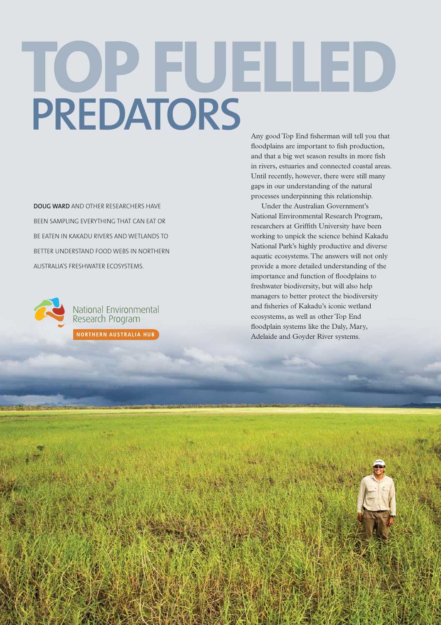# Any good Top End fisherman will tell you that **TOP FUELLED PREDATORS**

**DOUG WARD** AND OTHER RESEARCHERS HAVE BEEN SAMPLING EVERYTHING THAT CAN EAT OR BE EATEN IN KAKADU RIVERS AND WETLANDS TO BETTER UNDERSTAND FOOD WEBS IN NORTHERN AUSTRALIA'S FRESHWATER ECOSYSTEMS.



National Environmental<br>Research Program

NORTHERN AUSTRALIA HUB

floodplains are important to fish production, and that a big wet season results in more fish in rivers, estuaries and connected coastal areas. Until recently, however, there were still many gaps in our understanding of the natural processes underpinning this relationship.

Under the Australian Government's National Environmental Research Program, researchers at Griffith University have been working to unpick the science behind Kakadu National Park's highly productive and diverse aquatic ecosystems. The answers will not only provide a more detailed understanding of the importance and function of floodplains to freshwater biodiversity, but will also help managers to better protect the biodiversity and fisheries of Kakadu's iconic wetland ecosystems, as well as other Top End floodplain systems like the Daly, Mary, Adelaide and Goyder River systems.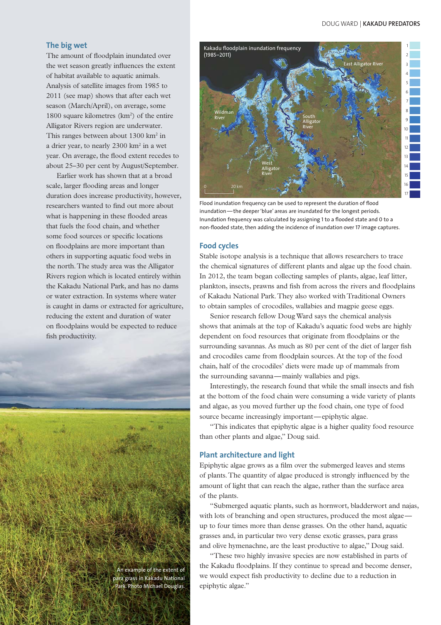#### DOUG WARD | **KAKADU PREDATORS**

## **The big wet**

The amount of floodplain inundated over the wet season greatly influences the extent of habitat available to aquatic animals. Analysis of satellite images from 1985 to 2011 (see map) shows that after each wet season (March/April), on average, some 1800 square kilometres  $(km<sup>2</sup>)$  of the entire Alligator Rivers region are underwater. This ranges between about  $1300 \text{ km}^2$  in a drier year, to nearly  $2300 \text{ km}^2$  in a wet year. On average, the flood extent recedes to about 25–30 per cent by August/September.

Earlier work has shown that at a broad scale, larger flooding areas and longer duration does increase productivity, however, researchers wanted to find out more about what is happening in these flooded areas that fuels the food chain, and whether some food sources or specific locations on floodplains are more important than others in supporting aquatic food webs in the north. The study area was the Alligator Rivers region which is located entirely within the Kakadu National Park, and has no dams or water extraction. In systems where water is caught in dams or extracted for agriculture, reducing the extent and duration of water on floodplains would be expected to reduce fish productivity.

> An example of the extent of para grass in Kakadu National Park. Photo Michael Douglas.



Flood inundation frequency can be used to represent the duration of flood inundation — the deeper 'blue' areas are inundated for the longest periods. Inundation frequency was calculated by assigning 1 to a flooded state and 0 to a non-flooded state, then adding the incidence of inundation over 17 image captures.

#### **Food cycles**

Stable isotope analysis is a technique that allows researchers to trace the chemical signatures of different plants and algae up the food chain. In 2012, the team began collecting samples of plants, algae, leaf litter, plankton, insects, prawns and fish from across the rivers and floodplains of Kakadu National Park. They also worked with Traditional Owners to obtain samples of crocodiles, wallabies and magpie geese eggs.

Senior research fellow Doug Ward says the chemical analysis shows that animals at the top of Kakadu's aquatic food webs are highly dependent on food resources that originate from floodplains or the surrounding savannas. As much as 80 per cent of the diet of larger fish and crocodiles came from floodplain sources. At the top of the food chain, half of the crocodiles' diets were made up of mammals from the surrounding savanna—mainly wallabies and pigs.

Interestingly, the research found that while the small insects and fish at the bottom of the food chain were consuming a wide variety of plants and algae, as you moved further up the food chain, one type of food source became increasingly important—epiphytic algae.

"This indicates that epiphytic algae is a higher quality food resource than other plants and algae," Doug said.

## **Plant architecture and light**

Epiphytic algae grows as a film over the submerged leaves and stems of plants. The quantity of algae produced is strongly influenced by the amount of light that can reach the algae, rather than the surface area of the plants.

"Submerged aquatic plants, such as hornwort, bladderwort and najas, with lots of branching and open structures, produced the most algaeup to four times more than dense grasses. On the other hand, aquatic grasses and, in particular two very dense exotic grasses, para grass and olive hymenachne, are the least productive to algae," Doug said.

"These two highly invasive species are now established in parts of the Kakadu floodplains. If they continue to spread and become denser, we would expect fish productivity to decline due to a reduction in epiphytic algae."